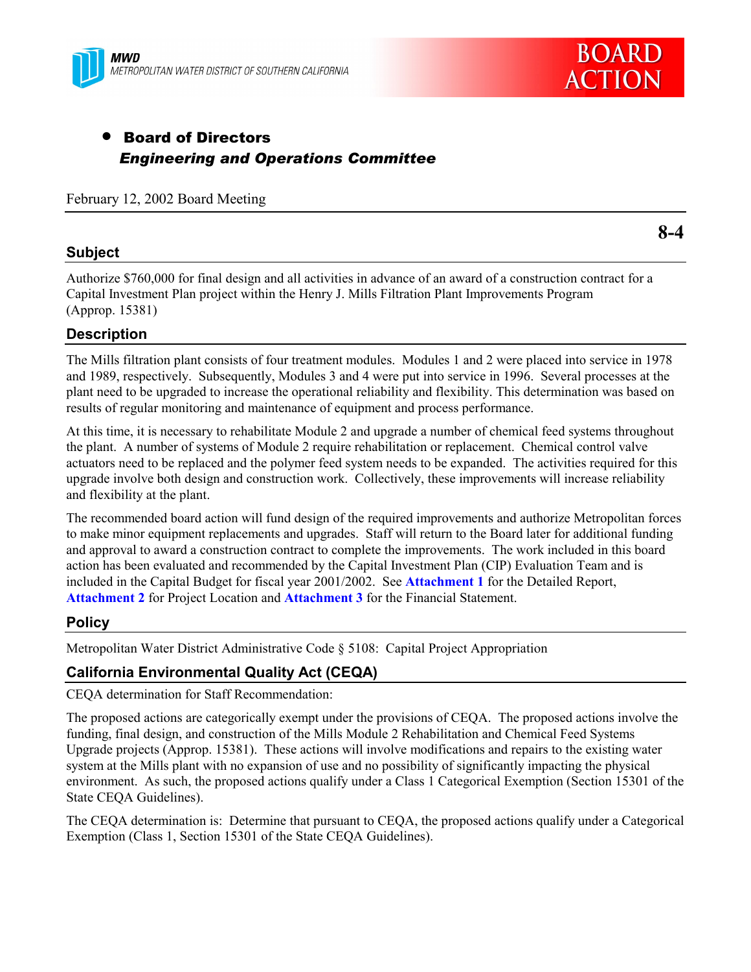



# • Board of Directors *Engineering and Operations Committee*

February 12, 2002 Board Meeting

#### **Subject**

Authorize \$760,000 for final design and all activities in advance of an award of a construction contract for a Capital Investment Plan project within the Henry J. Mills Filtration Plant Improvements Program (Approp. 15381)

### **Description**

The Mills filtration plant consists of four treatment modules. Modules 1 and 2 were placed into service in 1978 and 1989, respectively. Subsequently, Modules 3 and 4 were put into service in 1996. Several processes at the plant need to be upgraded to increase the operational reliability and flexibility. This determination was based on results of regular monitoring and maintenance of equipment and process performance.

At this time, it is necessary to rehabilitate Module 2 and upgrade a number of chemical feed systems throughout the plant. A number of systems of Module 2 require rehabilitation or replacement. Chemical control valve actuators need to be replaced and the polymer feed system needs to be expanded. The activities required for this upgrade involve both design and construction work. Collectively, these improvements will increase reliability and flexibility at the plant.

The recommended board action will fund design of the required improvements and authorize Metropolitan forces to make minor equipment replacements and upgrades. Staff will return to the Board later for additional funding and approval to award a construction contract to complete the improvements. The work included in this board action has been evaluated and recommended by the Capital Investment Plan (CIP) Evaluation Team and is included in the Capital Budget for fiscal year 2001/2002. See **Attachment 1** for the Detailed Report, **Attachment 2** for Project Location and **Attachment 3** for the Financial Statement.

### **Policy**

Metropolitan Water District Administrative Code ß 5108: Capital Project Appropriation

### **California Environmental Quality Act (CEQA)**

CEQA determination for Staff Recommendation:

The proposed actions are categorically exempt under the provisions of CEQA. The proposed actions involve the funding, final design, and construction of the Mills Module 2 Rehabilitation and Chemical Feed Systems Upgrade projects (Approp. 15381). These actions will involve modifications and repairs to the existing water system at the Mills plant with no expansion of use and no possibility of significantly impacting the physical environment. As such, the proposed actions qualify under a Class 1 Categorical Exemption (Section 15301 of the State CEQA Guidelines).

The CEQA determination is: Determine that pursuant to CEQA, the proposed actions qualify under a Categorical Exemption (Class 1, Section 15301 of the State CEQA Guidelines).

**8-4**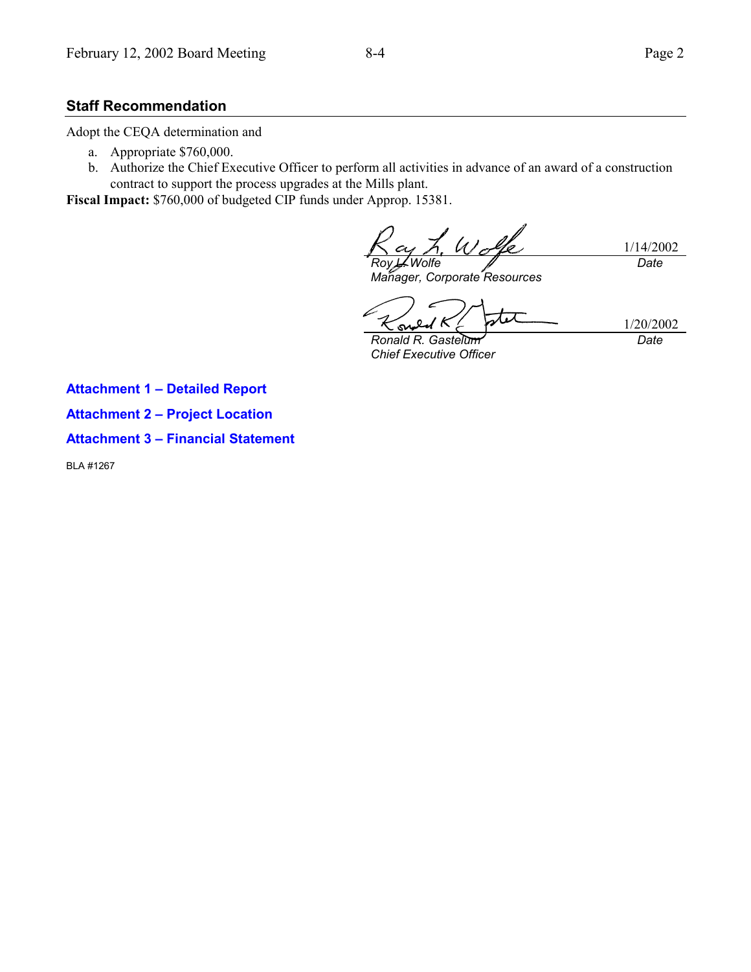#### **Staff Recommendation**

Adopt the CEQA determination and

- a. Appropriate \$760,000.
- b. Authorize the Chief Executive Officer to perform all activities in advance of an award of a construction contract to support the process upgrades at the Mills plant.

**Fiscal Impact:** \$760,000 of budgeted CIP funds under Approp. 15381.

 $u'$ 1/14/2002 *Roy L. Wolfe Date*

*Manager, Corporate Resources*

 $\mathbf o$ S

1/20/2002 *Date*

*Ronald R. Gastelum Chief Executive Officer*

**Attachment 1 - Detailed Report** 

**Attachment 2 - Project Location** 

**Attachment 3 - Financial Statement** 

BLA #1267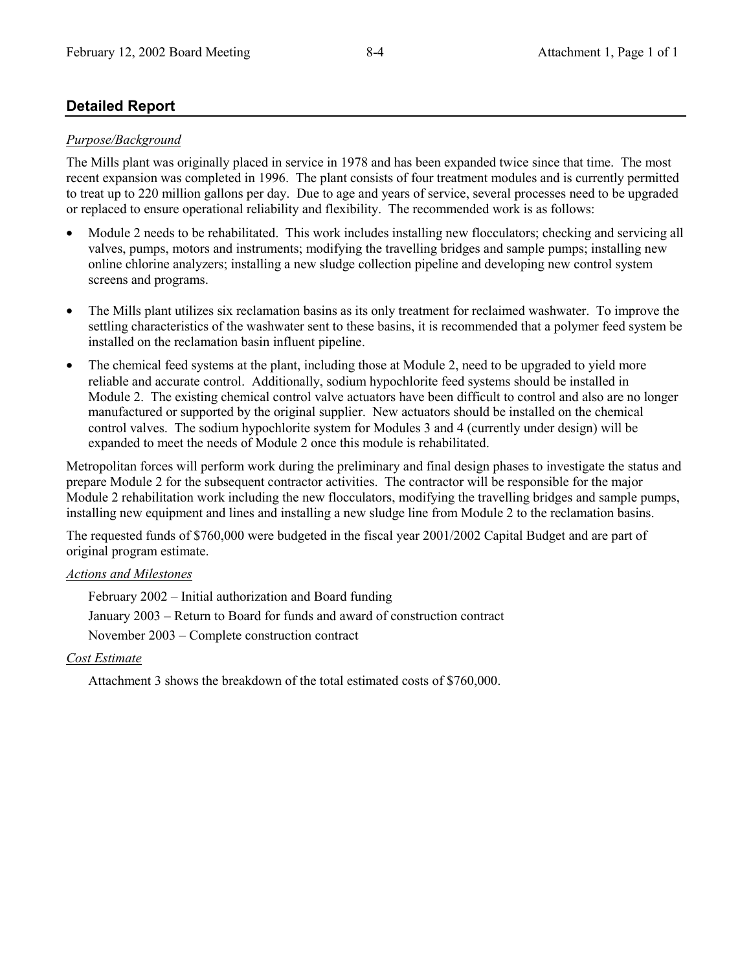## **Detailed Report**

#### *Purpose/Background*

The Mills plant was originally placed in service in 1978 and has been expanded twice since that time. The most recent expansion was completed in 1996. The plant consists of four treatment modules and is currently permitted to treat up to 220 million gallons per day. Due to age and years of service, several processes need to be upgraded or replaced to ensure operational reliability and flexibility. The recommended work is as follows:

- Module 2 needs to be rehabilitated. This work includes installing new flocculators; checking and servicing all valves, pumps, motors and instruments; modifying the travelling bridges and sample pumps; installing new online chlorine analyzers; installing a new sludge collection pipeline and developing new control system screens and programs.
- The Mills plant utilizes six reclamation basins as its only treatment for reclaimed washwater. To improve the settling characteristics of the washwater sent to these basins, it is recommended that a polymer feed system be installed on the reclamation basin influent pipeline.
- The chemical feed systems at the plant, including those at Module 2, need to be upgraded to yield more reliable and accurate control. Additionally, sodium hypochlorite feed systems should be installed in Module 2. The existing chemical control valve actuators have been difficult to control and also are no longer manufactured or supported by the original supplier. New actuators should be installed on the chemical control valves. The sodium hypochlorite system for Modules 3 and 4 (currently under design) will be expanded to meet the needs of Module 2 once this module is rehabilitated.

Metropolitan forces will perform work during the preliminary and final design phases to investigate the status and prepare Module 2 for the subsequent contractor activities. The contractor will be responsible for the major Module 2 rehabilitation work including the new flocculators, modifying the travelling bridges and sample pumps, installing new equipment and lines and installing a new sludge line from Module 2 to the reclamation basins.

The requested funds of \$760,000 were budgeted in the fiscal year 2001/2002 Capital Budget and are part of original program estimate.

#### *Actions and Milestones*

February  $2002$  – Initial authorization and Board funding January 2003 – Return to Board for funds and award of construction contract November 2003 – Complete construction contract

### *Cost Estimate*

Attachment 3 shows the breakdown of the total estimated costs of \$760,000.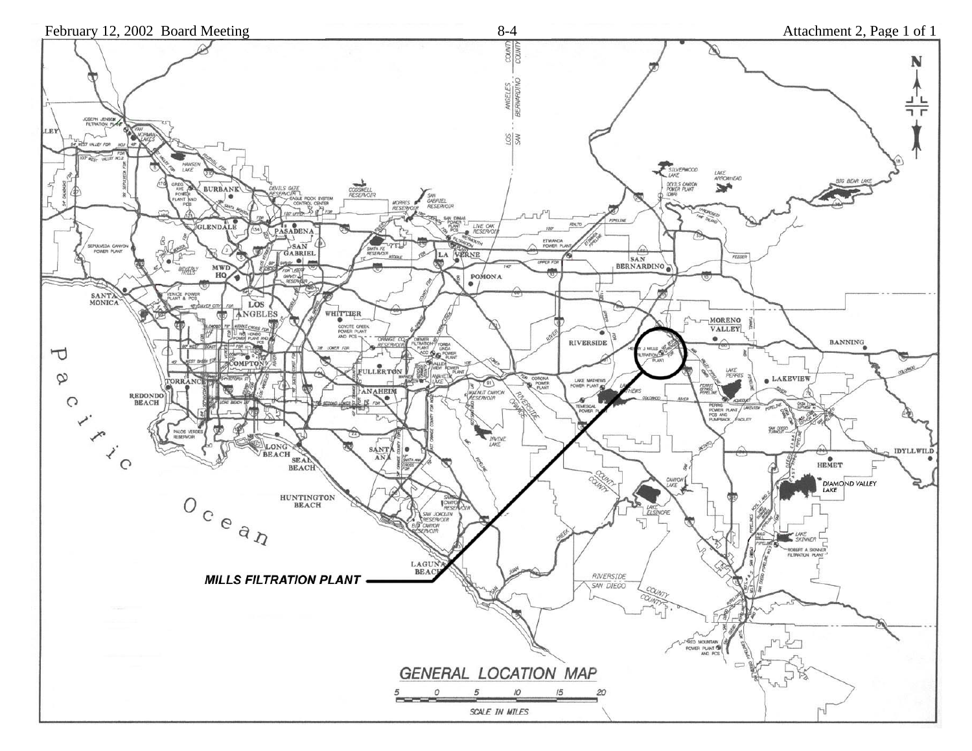